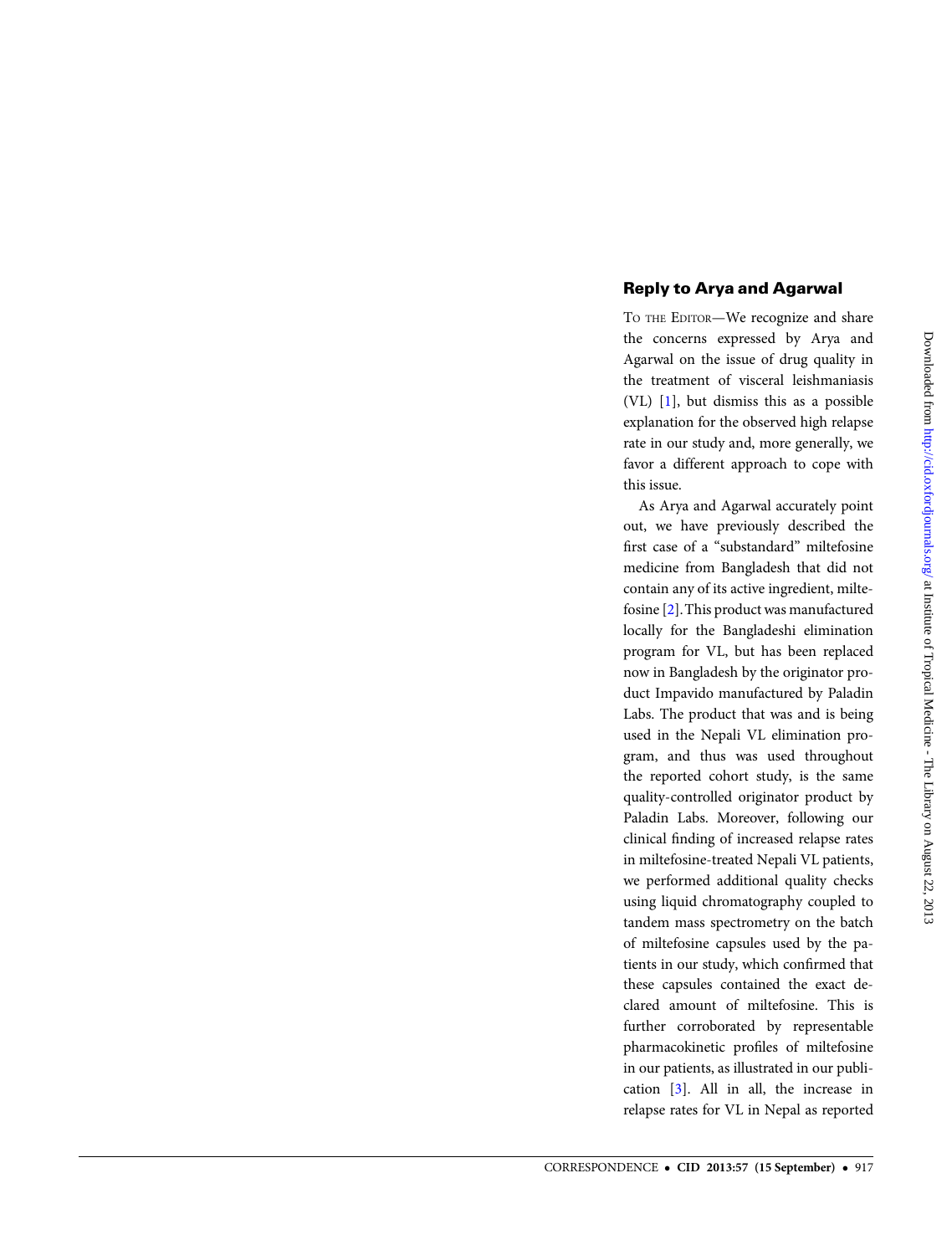## Reply to Arya and Agarwal

TO THE EDITOR—We recognize and share the concerns expressed by Arya and Agarwal on the issue of drug quality in the treatment of visceral leishmaniasis (VL) [\[1](#page-1-0)], but dismiss this as a possible explanation for the observed high relapse rate in our study and, more generally, we favor a different approach to cope with this issue.

As Arya and Agarwal accurately point out, we have previously described the first case of a "substandard" miltefosine medicine from Bangladesh that did not contain any of its active ingredient, miltefosine [\[2\]](#page-1-0).This product was manufactured locally for the Bangladeshi elimination program for VL, but has been replaced now in Bangladesh by the originator product Impavido manufactured by Paladin Labs. The product that was and is being used in the Nepali VL elimination program, and thus was used throughout the reported cohort study, is the same quality-controlled originator product by Paladin Labs. Moreover, following our clinical finding of increased relapse rates in miltefosine-treated Nepali VL patients, we performed additional quality checks using liquid chromatography coupled to tandem mass spectrometry on the batch of miltefosine capsules used by the patients in our study, which confirmed that these capsules contained the exact declared amount of miltefosine. This is further corroborated by representable pharmacokinetic profiles of miltefosine in our patients, as illustrated in our publication [\[3\]](#page-1-0). All in all, the increase in relapse rates for VL in Nepal as reported